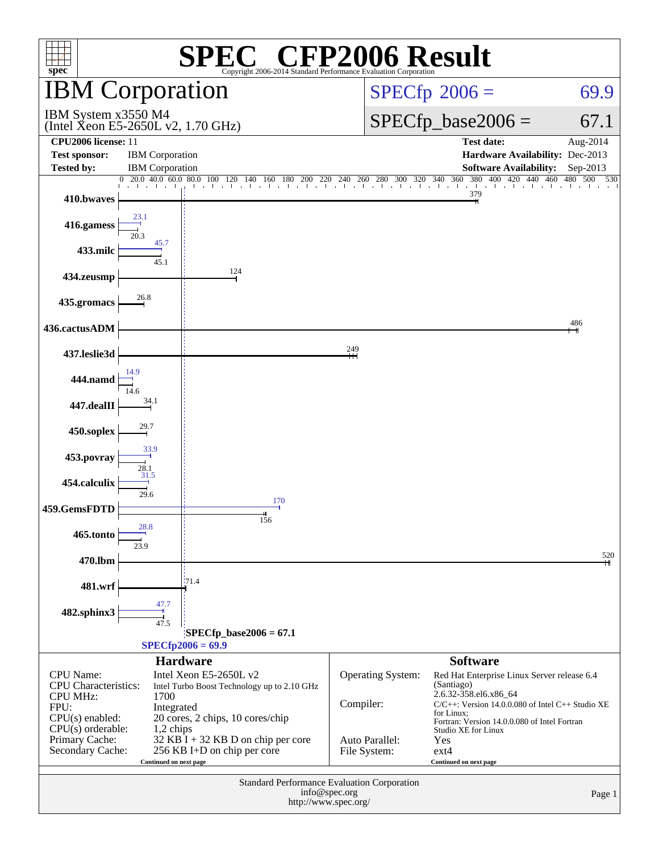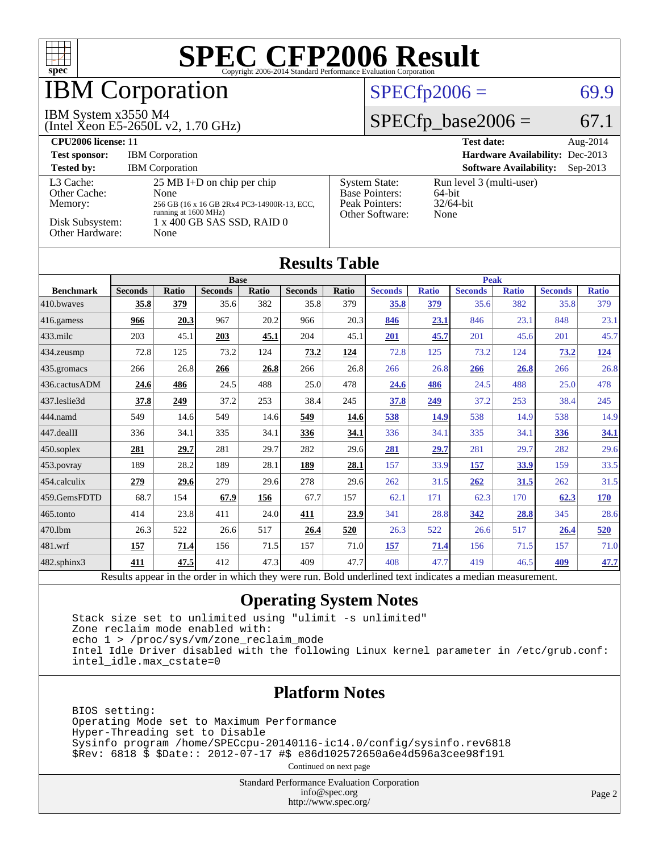

## **BM Corporation**

#### IBM System x3550 M4

(Intel Xeon E5-2650L v2, 1.70 GHz)

## $SPECfp2006 = 69.9$  $SPECfp2006 = 69.9$

#### $SPECfp\_base2006 = 67.1$

| CPU <sub>2006</sub> license: 11                                            |                                                                                                                                                           |                                                                                    | <b>Test date:</b><br>Aug-2014                              |
|----------------------------------------------------------------------------|-----------------------------------------------------------------------------------------------------------------------------------------------------------|------------------------------------------------------------------------------------|------------------------------------------------------------|
| <b>Test sponsor:</b>                                                       | <b>IBM</b> Corporation                                                                                                                                    |                                                                                    | Hardware Availability: Dec-2013                            |
| <b>Tested by:</b>                                                          | <b>IBM</b> Corporation                                                                                                                                    |                                                                                    | <b>Software Availability:</b><br>$Sep-2013$                |
| L3 Cache:<br>Other Cache:<br>Memory:<br>Disk Subsystem:<br>Other Hardware: | $25 \text{ MB I+D}$ on chip per chip<br>None<br>256 GB (16 x 16 GB 2Rx4 PC3-14900R-13, ECC,<br>running at 1600 MHz)<br>1 x 400 GB SAS SSD, RAID 0<br>None | <b>System State:</b><br><b>Base Pointers:</b><br>Peak Pointers:<br>Other Software: | Run level 3 (multi-user)<br>64-bit<br>$32/64$ -bit<br>None |

**[Results Table](http://www.spec.org/auto/cpu2006/Docs/result-fields.html#ResultsTable)**

| <b>Results Table</b> |                |                      |                |       |                |           |                      |                     |                |              |                |              |
|----------------------|----------------|----------------------|----------------|-------|----------------|-----------|----------------------|---------------------|----------------|--------------|----------------|--------------|
|                      | <b>Base</b>    |                      |                |       | <b>Peak</b>    |           |                      |                     |                |              |                |              |
| <b>Benchmark</b>     | <b>Seconds</b> | <b>Ratio</b>         | <b>Seconds</b> | Ratio | <b>Seconds</b> | Ratio     | <b>Seconds</b>       | <b>Ratio</b>        | <b>Seconds</b> | <b>Ratio</b> | <b>Seconds</b> | <b>Ratio</b> |
| 410.bwayes           | 35.8           | 379                  | 35.6           | 382   | 35.8           | 379       | 35.8                 | 379                 | 35.6           | 382          | 35.8           | 379          |
| 416.gamess           | 966            | 20.3                 | 967            | 20.2  | 966            | 20.3      | 846                  | 23.1                | 846            | 23.1         | 848            | 23.1         |
| 433.milc             | 203            | 45.1                 | 203            | 45.1  | 204            | 45.1      | 201                  | 45.7                | 201            | 45.6         | 201            | 45.7         |
| 434.zeusmp           | 72.8           | 125                  | 73.2           | 124   | 73.2           | 124       | 72.8                 | 125                 | 73.2           | 124          | 73.2           | <u>124</u>   |
| 435.gromacs          | 266            | 26.8                 | 266            | 26.8  | 266            | 26.8      | 266                  | 26.8                | 266            | 26.8         | 266            | 26.8         |
| 436.cactusADM        | 24.6           | 486                  | 24.5           | 488   | 25.0           | 478       | <u>24.6</u>          | 486                 | 24.5           | 488          | 25.0           | 478          |
| 437.leslie3d         | 37.8           | 249                  | 37.2           | 253   | 38.4           | 245       | 37.8                 | 249                 | 37.2           | 253          | 38.4           | 245          |
| 444.namd             | 549            | 14.6                 | 549            | 14.6  | 549            | 14.6      | 538                  | 14.9                | 538            | 14.9         | 538            | 14.9         |
| 447.dealII           | 336            | 34.1                 | 335            | 34.1  | 336            | 34.1      | 336                  | 34.1                | 335            | 34.1         | 336            | 34.1         |
| 450.soplex           | 281            | 29.7                 | 281            | 29.7  | 282            | 29.6      | <u>281</u>           | 29.7                | 281            | 29.7         | 282            | 29.6         |
| 453.povray           | 189            | 28.2                 | 189            | 28.1  | 189            | 28.1      | 157                  | 33.9                | <u>157</u>     | 33.9         | 159            | 33.5         |
| 454.calculix         | 279            | 29.6                 | 279            | 29.6  | 278            | 29.6      | 262                  | 31.5                | 262            | 31.5         | 262            | 31.5         |
| 459.GemsFDTD         | 68.7           | 154                  | 67.9           | 156   | 67.7           | 157       | 62.1                 | 171                 | 62.3           | 170          | 62.3           | 170          |
| 465.tonto            | 414            | 23.8                 | 411            | 24.0  | 411            | 23.9      | 341                  | 28.8                | 342            | 28.8         | 345            | 28.6         |
| 470.1bm              | 26.3           | 522                  | 26.6           | 517   | 26.4           | 520       | 26.3                 | 522                 | 26.6           | 517          | 26.4           | 520          |
| 481.wrf              | 157            | 71.4                 | 156            | 71.5  | 157            | 71.0      | 157                  | 71.4                | 156            | 71.5         | 157            | 71.0         |
| 482.sphinx3          | 411            | 47.5                 | 412            | 47.3  | 409            | 47.7      | 408                  | 47.7                | 419            | 46.5         | 409            | 47.7         |
| $\mathbf{r}$         | $\mathbf{1}$ . | $\sim$ $\sim$ $\sim$ | $\sim$ $\sim$  | 1.1.1 |                | $T = 1.1$ | 1.11<br>$\mathbf{1}$ | $-1$ $-1$ $-1$ $-1$ | $\cdot$        |              |                |              |

#### Results appear in the [order in which they were run.](http://www.spec.org/auto/cpu2006/Docs/result-fields.html#RunOrder) Bold underlined text [indicates a median measurement.](http://www.spec.org/auto/cpu2006/Docs/result-fields.html#Median)

#### **[Operating System Notes](http://www.spec.org/auto/cpu2006/Docs/result-fields.html#OperatingSystemNotes)**

 Stack size set to unlimited using "ulimit -s unlimited" Zone reclaim mode enabled with: echo 1 > /proc/sys/vm/zone\_reclaim\_mode Intel Idle Driver disabled with the following Linux kernel parameter in /etc/grub.conf: intel\_idle.max\_cstate=0

#### **[Platform Notes](http://www.spec.org/auto/cpu2006/Docs/result-fields.html#PlatformNotes)**

 BIOS setting: Operating Mode set to Maximum Performance Hyper-Threading set to Disable Sysinfo program /home/SPECcpu-20140116-ic14.0/config/sysinfo.rev6818 \$Rev: 6818 \$ \$Date:: 2012-07-17 #\$ e86d102572650a6e4d596a3cee98f191

Continued on next page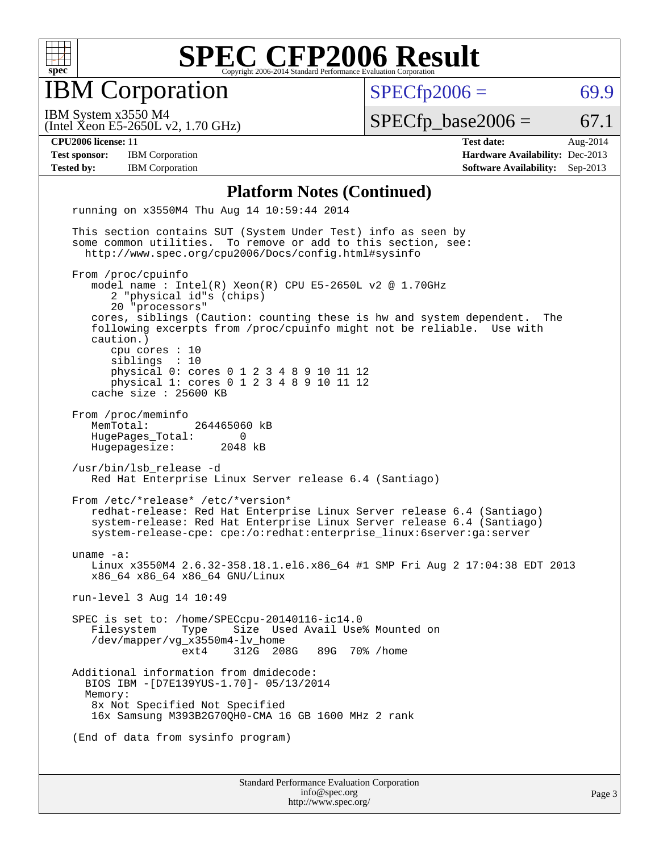

IBM Corporation

 $SPECTp2006 = 69.9$ 

(Intel Xeon E5-2650L v2, 1.70 GHz) IBM System x3550 M4

 $SPECTp\_base2006 = 67.1$ 

**[Test sponsor:](http://www.spec.org/auto/cpu2006/Docs/result-fields.html#Testsponsor)** IBM Corporation **[Hardware Availability:](http://www.spec.org/auto/cpu2006/Docs/result-fields.html#HardwareAvailability)** Dec-2013

**[CPU2006 license:](http://www.spec.org/auto/cpu2006/Docs/result-fields.html#CPU2006license)** 11 **[Test date:](http://www.spec.org/auto/cpu2006/Docs/result-fields.html#Testdate)** Aug-2014 **[Tested by:](http://www.spec.org/auto/cpu2006/Docs/result-fields.html#Testedby)** IBM Corporation **[Software Availability:](http://www.spec.org/auto/cpu2006/Docs/result-fields.html#SoftwareAvailability)** Sep-2013

#### **[Platform Notes \(Continued\)](http://www.spec.org/auto/cpu2006/Docs/result-fields.html#PlatformNotes)**

 running on x3550M4 Thu Aug 14 10:59:44 2014 This section contains SUT (System Under Test) info as seen by some common utilities. To remove or add to this section, see: <http://www.spec.org/cpu2006/Docs/config.html#sysinfo> From /proc/cpuinfo model name : Intel(R) Xeon(R) CPU E5-2650L v2 @ 1.70GHz 2 "physical id"s (chips) 20 "processors" cores, siblings (Caution: counting these is hw and system dependent. The following excerpts from /proc/cpuinfo might not be reliable. Use with caution.) cpu cores : 10 siblings : 10 physical 0: cores 0 1 2 3 4 8 9 10 11 12 physical 1: cores 0 1 2 3 4 8 9 10 11 12 cache size : 25600 KB From /proc/meminfo MemTotal: 264465060 kB HugePages\_Total: 0<br>Hugepagesize: 2048 kB Hugepagesize: /usr/bin/lsb\_release -d Red Hat Enterprise Linux Server release 6.4 (Santiago) From /etc/\*release\* /etc/\*version\* redhat-release: Red Hat Enterprise Linux Server release 6.4 (Santiago) system-release: Red Hat Enterprise Linux Server release 6.4 (Santiago) system-release-cpe: cpe:/o:redhat:enterprise\_linux:6server:ga:server uname -a: Linux x3550M4 2.6.32-358.18.1.el6.x86\_64 #1 SMP Fri Aug 2 17:04:38 EDT 2013 x86\_64 x86\_64 x86\_64 GNU/Linux run-level 3 Aug 14 10:49 SPEC is set to: /home/SPECcpu-20140116-ic14.0 Filesystem Type Size Used Avail Use% Mounted on /dev/mapper/vg\_x3550m4-lv\_home ext4 312G 208G 89G 70% /home Additional information from dmidecode: BIOS IBM -[D7E139YUS-1.70]- 05/13/2014 Memory: 8x Not Specified Not Specified 16x Samsung M393B2G70QH0-CMA 16 GB 1600 MHz 2 rank (End of data from sysinfo program)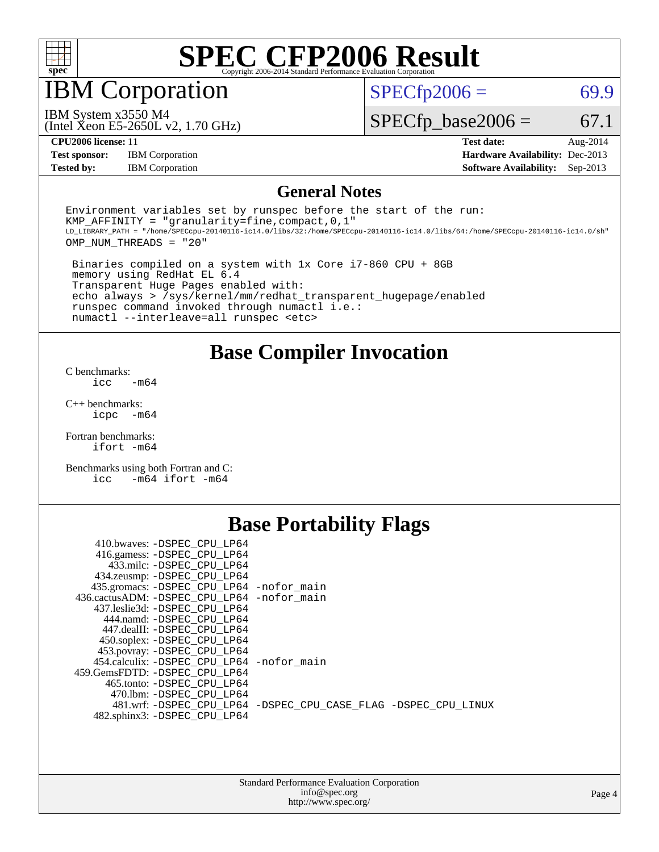

IBM Corporation

 $SPECTp2006 = 69.9$ 

(Intel Xeon E5-2650L v2, 1.70 GHz) IBM System x3550 M4

 $SPECfp\_base2006 = 67.1$ 

**[CPU2006 license:](http://www.spec.org/auto/cpu2006/Docs/result-fields.html#CPU2006license)** 11 **[Test date:](http://www.spec.org/auto/cpu2006/Docs/result-fields.html#Testdate)** Aug-2014 **[Test sponsor:](http://www.spec.org/auto/cpu2006/Docs/result-fields.html#Testsponsor)** IBM Corporation **[Hardware Availability:](http://www.spec.org/auto/cpu2006/Docs/result-fields.html#HardwareAvailability)** Dec-2013 **[Tested by:](http://www.spec.org/auto/cpu2006/Docs/result-fields.html#Testedby)** IBM Corporation **[Software Availability:](http://www.spec.org/auto/cpu2006/Docs/result-fields.html#SoftwareAvailability)** Sep-2013

#### **[General Notes](http://www.spec.org/auto/cpu2006/Docs/result-fields.html#GeneralNotes)**

Environment variables set by runspec before the start of the run: KMP AFFINITY = "granularity=fine, compact,  $0,1$ " LD\_LIBRARY\_PATH = "/home/SPECcpu-20140116-ic14.0/libs/32:/home/SPECcpu-20140116-ic14.0/libs/64:/home/SPECcpu-20140116-ic14.0/sh" OMP\_NUM\_THREADS = "20"

 Binaries compiled on a system with 1x Core i7-860 CPU + 8GB memory using RedHat EL 6.4 Transparent Huge Pages enabled with: echo always > /sys/kernel/mm/redhat\_transparent\_hugepage/enabled runspec command invoked through numactl i.e.: numactl --interleave=all runspec <etc>

**[Base Compiler Invocation](http://www.spec.org/auto/cpu2006/Docs/result-fields.html#BaseCompilerInvocation)**

[C benchmarks](http://www.spec.org/auto/cpu2006/Docs/result-fields.html#Cbenchmarks):  $\text{icc}$   $-\text{m64}$ 

[C++ benchmarks:](http://www.spec.org/auto/cpu2006/Docs/result-fields.html#CXXbenchmarks) [icpc -m64](http://www.spec.org/cpu2006/results/res2014q3/cpu2006-20140819-30959.flags.html#user_CXXbase_intel_icpc_64bit_bedb90c1146cab66620883ef4f41a67e)

[Fortran benchmarks](http://www.spec.org/auto/cpu2006/Docs/result-fields.html#Fortranbenchmarks): [ifort -m64](http://www.spec.org/cpu2006/results/res2014q3/cpu2006-20140819-30959.flags.html#user_FCbase_intel_ifort_64bit_ee9d0fb25645d0210d97eb0527dcc06e)

[Benchmarks using both Fortran and C](http://www.spec.org/auto/cpu2006/Docs/result-fields.html#BenchmarksusingbothFortranandC): [icc -m64](http://www.spec.org/cpu2006/results/res2014q3/cpu2006-20140819-30959.flags.html#user_CC_FCbase_intel_icc_64bit_0b7121f5ab7cfabee23d88897260401c) [ifort -m64](http://www.spec.org/cpu2006/results/res2014q3/cpu2006-20140819-30959.flags.html#user_CC_FCbase_intel_ifort_64bit_ee9d0fb25645d0210d97eb0527dcc06e)

## **[Base Portability Flags](http://www.spec.org/auto/cpu2006/Docs/result-fields.html#BasePortabilityFlags)**

| 410.bwaves: -DSPEC CPU LP64                 |                                                                |
|---------------------------------------------|----------------------------------------------------------------|
| 416.gamess: -DSPEC CPU LP64                 |                                                                |
| 433.milc: -DSPEC CPU LP64                   |                                                                |
| 434.zeusmp: - DSPEC_CPU_LP64                |                                                                |
| 435.gromacs: -DSPEC_CPU_LP64 -nofor_main    |                                                                |
| 436.cactusADM: -DSPEC CPU LP64 -nofor main  |                                                                |
| 437.leslie3d: -DSPEC CPU LP64               |                                                                |
| 444.namd: -DSPEC CPU LP64                   |                                                                |
| 447.dealII: -DSPEC CPU LP64                 |                                                                |
| 450.soplex: -DSPEC_CPU_LP64                 |                                                                |
| 453.povray: -DSPEC_CPU_LP64                 |                                                                |
| 454.calculix: - DSPEC CPU LP64 - nofor main |                                                                |
| 459.GemsFDTD: -DSPEC CPU LP64               |                                                                |
| 465.tonto: -DSPEC CPU LP64                  |                                                                |
| 470.1bm: - DSPEC CPU LP64                   |                                                                |
|                                             | 481.wrf: -DSPEC_CPU_LP64 -DSPEC_CPU_CASE_FLAG -DSPEC_CPU_LINUX |
| 482.sphinx3: -DSPEC_CPU_LP64                |                                                                |
|                                             |                                                                |

| <b>Standard Performance Evaluation Corporation</b> |
|----------------------------------------------------|
| info@spec.org                                      |
| http://www.spec.org/                               |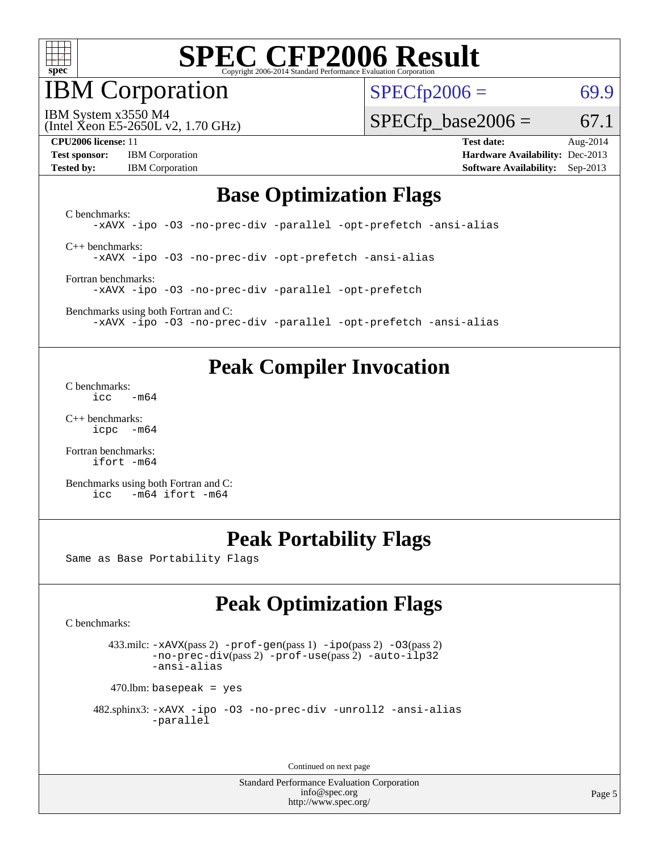

IBM Corporation

 $SPECfp2006 = 69.9$  $SPECfp2006 = 69.9$ 

(Intel Xeon E5-2650L v2, 1.70 GHz) IBM System x3550 M4

 $SPECTp\_base2006 = 67.1$ 

**[CPU2006 license:](http://www.spec.org/auto/cpu2006/Docs/result-fields.html#CPU2006license)** 11 **[Test date:](http://www.spec.org/auto/cpu2006/Docs/result-fields.html#Testdate)** Aug-2014 **[Test sponsor:](http://www.spec.org/auto/cpu2006/Docs/result-fields.html#Testsponsor)** IBM Corporation **[Hardware Availability:](http://www.spec.org/auto/cpu2006/Docs/result-fields.html#HardwareAvailability)** Dec-2013

**[Tested by:](http://www.spec.org/auto/cpu2006/Docs/result-fields.html#Testedby)** IBM Corporation **[Software Availability:](http://www.spec.org/auto/cpu2006/Docs/result-fields.html#SoftwareAvailability)** Sep-2013

### **[Base Optimization Flags](http://www.spec.org/auto/cpu2006/Docs/result-fields.html#BaseOptimizationFlags)**

[C benchmarks](http://www.spec.org/auto/cpu2006/Docs/result-fields.html#Cbenchmarks): [-xAVX](http://www.spec.org/cpu2006/results/res2014q3/cpu2006-20140819-30959.flags.html#user_CCbase_f-xAVX) [-ipo](http://www.spec.org/cpu2006/results/res2014q3/cpu2006-20140819-30959.flags.html#user_CCbase_f-ipo) [-O3](http://www.spec.org/cpu2006/results/res2014q3/cpu2006-20140819-30959.flags.html#user_CCbase_f-O3) [-no-prec-div](http://www.spec.org/cpu2006/results/res2014q3/cpu2006-20140819-30959.flags.html#user_CCbase_f-no-prec-div) [-parallel](http://www.spec.org/cpu2006/results/res2014q3/cpu2006-20140819-30959.flags.html#user_CCbase_f-parallel) [-opt-prefetch](http://www.spec.org/cpu2006/results/res2014q3/cpu2006-20140819-30959.flags.html#user_CCbase_f-opt-prefetch) [-ansi-alias](http://www.spec.org/cpu2006/results/res2014q3/cpu2006-20140819-30959.flags.html#user_CCbase_f-ansi-alias) [C++ benchmarks:](http://www.spec.org/auto/cpu2006/Docs/result-fields.html#CXXbenchmarks)

[-xAVX](http://www.spec.org/cpu2006/results/res2014q3/cpu2006-20140819-30959.flags.html#user_CXXbase_f-xAVX) [-ipo](http://www.spec.org/cpu2006/results/res2014q3/cpu2006-20140819-30959.flags.html#user_CXXbase_f-ipo) [-O3](http://www.spec.org/cpu2006/results/res2014q3/cpu2006-20140819-30959.flags.html#user_CXXbase_f-O3) [-no-prec-div](http://www.spec.org/cpu2006/results/res2014q3/cpu2006-20140819-30959.flags.html#user_CXXbase_f-no-prec-div) [-opt-prefetch](http://www.spec.org/cpu2006/results/res2014q3/cpu2006-20140819-30959.flags.html#user_CXXbase_f-opt-prefetch) [-ansi-alias](http://www.spec.org/cpu2006/results/res2014q3/cpu2006-20140819-30959.flags.html#user_CXXbase_f-ansi-alias)

[Fortran benchmarks](http://www.spec.org/auto/cpu2006/Docs/result-fields.html#Fortranbenchmarks): [-xAVX](http://www.spec.org/cpu2006/results/res2014q3/cpu2006-20140819-30959.flags.html#user_FCbase_f-xAVX) [-ipo](http://www.spec.org/cpu2006/results/res2014q3/cpu2006-20140819-30959.flags.html#user_FCbase_f-ipo) [-O3](http://www.spec.org/cpu2006/results/res2014q3/cpu2006-20140819-30959.flags.html#user_FCbase_f-O3) [-no-prec-div](http://www.spec.org/cpu2006/results/res2014q3/cpu2006-20140819-30959.flags.html#user_FCbase_f-no-prec-div) [-parallel](http://www.spec.org/cpu2006/results/res2014q3/cpu2006-20140819-30959.flags.html#user_FCbase_f-parallel) [-opt-prefetch](http://www.spec.org/cpu2006/results/res2014q3/cpu2006-20140819-30959.flags.html#user_FCbase_f-opt-prefetch)

[Benchmarks using both Fortran and C](http://www.spec.org/auto/cpu2006/Docs/result-fields.html#BenchmarksusingbothFortranandC): [-xAVX](http://www.spec.org/cpu2006/results/res2014q3/cpu2006-20140819-30959.flags.html#user_CC_FCbase_f-xAVX) [-ipo](http://www.spec.org/cpu2006/results/res2014q3/cpu2006-20140819-30959.flags.html#user_CC_FCbase_f-ipo) [-O3](http://www.spec.org/cpu2006/results/res2014q3/cpu2006-20140819-30959.flags.html#user_CC_FCbase_f-O3) [-no-prec-div](http://www.spec.org/cpu2006/results/res2014q3/cpu2006-20140819-30959.flags.html#user_CC_FCbase_f-no-prec-div) [-parallel](http://www.spec.org/cpu2006/results/res2014q3/cpu2006-20140819-30959.flags.html#user_CC_FCbase_f-parallel) [-opt-prefetch](http://www.spec.org/cpu2006/results/res2014q3/cpu2006-20140819-30959.flags.html#user_CC_FCbase_f-opt-prefetch) [-ansi-alias](http://www.spec.org/cpu2006/results/res2014q3/cpu2006-20140819-30959.flags.html#user_CC_FCbase_f-ansi-alias)

### **[Peak Compiler Invocation](http://www.spec.org/auto/cpu2006/Docs/result-fields.html#PeakCompilerInvocation)**

[C benchmarks](http://www.spec.org/auto/cpu2006/Docs/result-fields.html#Cbenchmarks):  $\text{icc}$   $-\text{m64}$ 

[C++ benchmarks:](http://www.spec.org/auto/cpu2006/Docs/result-fields.html#CXXbenchmarks) [icpc -m64](http://www.spec.org/cpu2006/results/res2014q3/cpu2006-20140819-30959.flags.html#user_CXXpeak_intel_icpc_64bit_bedb90c1146cab66620883ef4f41a67e)

[Fortran benchmarks](http://www.spec.org/auto/cpu2006/Docs/result-fields.html#Fortranbenchmarks): [ifort -m64](http://www.spec.org/cpu2006/results/res2014q3/cpu2006-20140819-30959.flags.html#user_FCpeak_intel_ifort_64bit_ee9d0fb25645d0210d97eb0527dcc06e)

[Benchmarks using both Fortran and C](http://www.spec.org/auto/cpu2006/Docs/result-fields.html#BenchmarksusingbothFortranandC): [icc -m64](http://www.spec.org/cpu2006/results/res2014q3/cpu2006-20140819-30959.flags.html#user_CC_FCpeak_intel_icc_64bit_0b7121f5ab7cfabee23d88897260401c) [ifort -m64](http://www.spec.org/cpu2006/results/res2014q3/cpu2006-20140819-30959.flags.html#user_CC_FCpeak_intel_ifort_64bit_ee9d0fb25645d0210d97eb0527dcc06e)

## **[Peak Portability Flags](http://www.spec.org/auto/cpu2006/Docs/result-fields.html#PeakPortabilityFlags)**

Same as Base Portability Flags

## **[Peak Optimization Flags](http://www.spec.org/auto/cpu2006/Docs/result-fields.html#PeakOptimizationFlags)**

[C benchmarks](http://www.spec.org/auto/cpu2006/Docs/result-fields.html#Cbenchmarks):

 433.milc: [-xAVX](http://www.spec.org/cpu2006/results/res2014q3/cpu2006-20140819-30959.flags.html#user_peakPASS2_CFLAGSPASS2_LDFLAGS433_milc_f-xAVX)(pass 2) [-prof-gen](http://www.spec.org/cpu2006/results/res2014q3/cpu2006-20140819-30959.flags.html#user_peakPASS1_CFLAGSPASS1_LDFLAGS433_milc_prof_gen_e43856698f6ca7b7e442dfd80e94a8fc)(pass 1) [-ipo](http://www.spec.org/cpu2006/results/res2014q3/cpu2006-20140819-30959.flags.html#user_peakPASS2_CFLAGSPASS2_LDFLAGS433_milc_f-ipo)(pass 2) [-O3](http://www.spec.org/cpu2006/results/res2014q3/cpu2006-20140819-30959.flags.html#user_peakPASS2_CFLAGSPASS2_LDFLAGS433_milc_f-O3)(pass 2) [-no-prec-div](http://www.spec.org/cpu2006/results/res2014q3/cpu2006-20140819-30959.flags.html#user_peakPASS2_CFLAGSPASS2_LDFLAGS433_milc_f-no-prec-div)(pass 2) [-prof-use](http://www.spec.org/cpu2006/results/res2014q3/cpu2006-20140819-30959.flags.html#user_peakPASS2_CFLAGSPASS2_LDFLAGS433_milc_prof_use_bccf7792157ff70d64e32fe3e1250b55)(pass 2) [-auto-ilp32](http://www.spec.org/cpu2006/results/res2014q3/cpu2006-20140819-30959.flags.html#user_peakCOPTIMIZE433_milc_f-auto-ilp32) [-ansi-alias](http://www.spec.org/cpu2006/results/res2014q3/cpu2006-20140819-30959.flags.html#user_peakCOPTIMIZE433_milc_f-ansi-alias)

 $470$ .lbm: basepeak = yes

```
 482.sphinx3: -xAVX -ipo -O3 -no-prec-div -unroll2 -ansi-alias
         -parallel
```
Continued on next page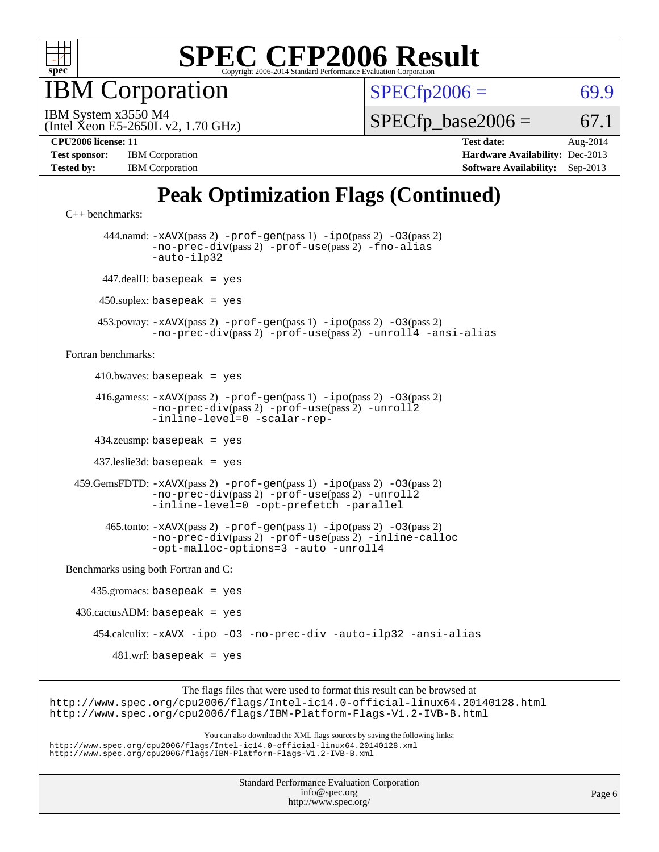

**BM** Corporation

 $SPECfp2006 = 69.9$  $SPECfp2006 = 69.9$ 

(Intel Xeon E5-2650L v2, 1.70 GHz) IBM System x3550 M4

 $SPECTp\_base2006 = 67.1$ 

| <b>Test sponsor:</b> | <b>IBM</b> Corporation |
|----------------------|------------------------|
| <b>Tested by:</b>    | <b>IBM</b> Corporation |

**[CPU2006 license:](http://www.spec.org/auto/cpu2006/Docs/result-fields.html#CPU2006license)** 11 **[Test date:](http://www.spec.org/auto/cpu2006/Docs/result-fields.html#Testdate)** Aug-2014 **[Hardware Availability:](http://www.spec.org/auto/cpu2006/Docs/result-fields.html#HardwareAvailability)** Dec-2013 **[Software Availability:](http://www.spec.org/auto/cpu2006/Docs/result-fields.html#SoftwareAvailability)** Sep-2013

## **[Peak Optimization Flags \(Continued\)](http://www.spec.org/auto/cpu2006/Docs/result-fields.html#PeakOptimizationFlags)**

```
C++ benchmarks: 
        444.namd: -xAVX(pass 2) -prof-gen(pass 1) -ipo(pass 2) -O3(pass 2)
                -no-prec-div(pass 2) -prof-use(pass 2) -fno-alias
                -auto-ilp32
       447.dealII: basepeak = yes
      450.soplex: basepeak = yes
      453.povray: -xAVX(pass 2) -prof-gen(pass 1) -ipo(pass 2) -O3(pass 2)
                -no-prec-div(pass 2) -prof-use(pass 2) -unroll4 -ansi-alias
Fortran benchmarks: 
     410.bwaves: basepeak = yes 416.gamess: -xAVX(pass 2) -prof-gen(pass 1) -ipo(pass 2) -O3(pass 2)
                -no-prec-div(pass 2) -prof-use(pass 2) -unroll2
                -inline-level=0 -scalar-rep-
      434.zeusmp: basepeak = yes
      437.leslie3d: basepeak = yes
  459.GemsFDTD: -xAVX(pass 2) -prof-gen(pass 1) -ipo(pass 2) -O3(pass 2)
                -no-prec-div(pass 2) -prof-use(pass 2) -unroll2
                -inline-level=0 -opt-prefetch -parallel
        465.tonto: -xAVX(pass 2) -prof-gen(pass 1) -ipo(pass 2) -O3(pass 2)
                -no-prec-div(pass 2) -prof-use(pass 2) -inline-calloc
                -opt-malloc-options=3-auto-unroll4
Benchmarks using both Fortran and C: 
     435.gromacs: basepeak = yes
 436.cactusADM: basepeak = yes 454.calculix: -xAVX -ipo -O3 -no-prec-div -auto-ilp32 -ansi-alias
        481.wrf: basepeak = yes
                     The flags files that were used to format this result can be browsed at
```
<http://www.spec.org/cpu2006/flags/Intel-ic14.0-official-linux64.20140128.html> <http://www.spec.org/cpu2006/flags/IBM-Platform-Flags-V1.2-IVB-B.html>

You can also download the XML flags sources by saving the following links: <http://www.spec.org/cpu2006/flags/Intel-ic14.0-official-linux64.20140128.xml> <http://www.spec.org/cpu2006/flags/IBM-Platform-Flags-V1.2-IVB-B.xml>